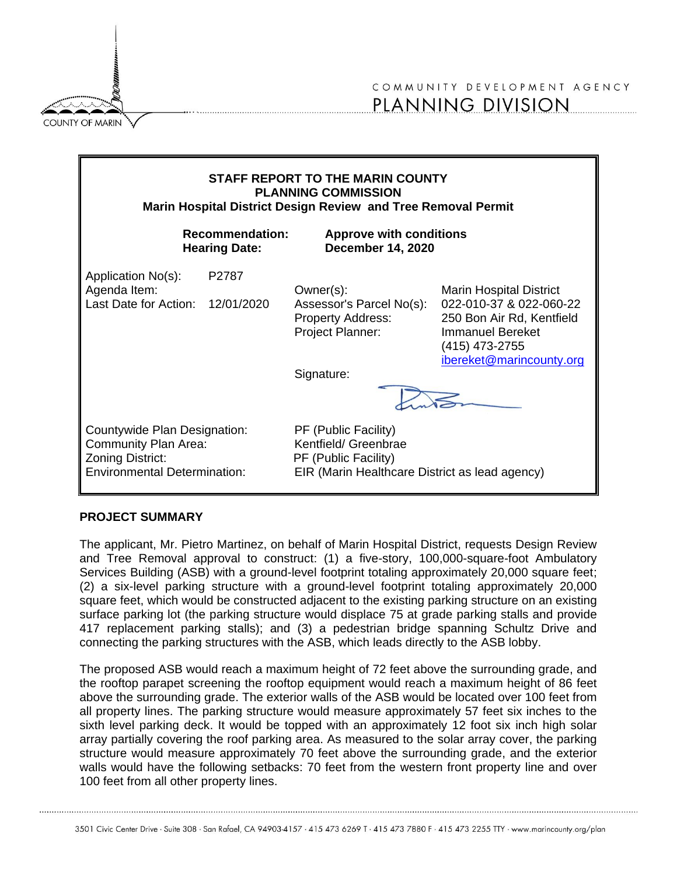**COUNTY OF MARIN** 



| STAFF REPORT TO THE MARIN COUNTY<br><b>PLANNING COMMISSION</b><br>Marin Hospital District Design Review and Tree Removal Permit |                     |                                                                                                                        |                                                                                                                                                                 |
|---------------------------------------------------------------------------------------------------------------------------------|---------------------|------------------------------------------------------------------------------------------------------------------------|-----------------------------------------------------------------------------------------------------------------------------------------------------------------|
| <b>Recommendation:</b><br><b>Hearing Date:</b>                                                                                  |                     | <b>Approve with conditions</b><br><b>December 14, 2020</b>                                                             |                                                                                                                                                                 |
| Application No(s):<br>Agenda Item:<br>Last Date for Action:                                                                     | P2787<br>12/01/2020 | Owner(s):<br>Assessor's Parcel No(s):<br><b>Property Address:</b><br>Project Planner:<br>Signature:                    | <b>Marin Hospital District</b><br>022-010-37 & 022-060-22<br>250 Bon Air Rd, Kentfield<br><b>Immanuel Bereket</b><br>(415) 473-2755<br>ibereket@marincounty.org |
| Countywide Plan Designation:<br><b>Community Plan Area:</b><br>Zoning District:<br><b>Environmental Determination:</b>          |                     | PF (Public Facility)<br>Kentfield/ Greenbrae<br>PF (Public Facility)<br>EIR (Marin Healthcare District as lead agency) |                                                                                                                                                                 |

#### **PROJECT SUMMARY**

The applicant, Mr. Pietro Martinez, on behalf of Marin Hospital District, requests Design Review and Tree Removal approval to construct: (1) a five-story, 100,000-square-foot Ambulatory Services Building (ASB) with a ground-level footprint totaling approximately 20,000 square feet; (2) a six-level parking structure with a ground-level footprint totaling approximately 20,000 square feet, which would be constructed adjacent to the existing parking structure on an existing surface parking lot (the parking structure would displace 75 at grade parking stalls and provide 417 replacement parking stalls); and (3) a pedestrian bridge spanning Schultz Drive and connecting the parking structures with the ASB, which leads directly to the ASB lobby.

The proposed ASB would reach a maximum height of 72 feet above the surrounding grade, and the rooftop parapet screening the rooftop equipment would reach a maximum height of 86 feet above the surrounding grade. The exterior walls of the ASB would be located over 100 feet from all property lines. The parking structure would measure approximately 57 feet six inches to the sixth level parking deck. It would be topped with an approximately 12 foot six inch high solar array partially covering the roof parking area. As measured to the solar array cover, the parking structure would measure approximately 70 feet above the surrounding grade, and the exterior walls would have the following setbacks: 70 feet from the western front property line and over 100 feet from all other property lines.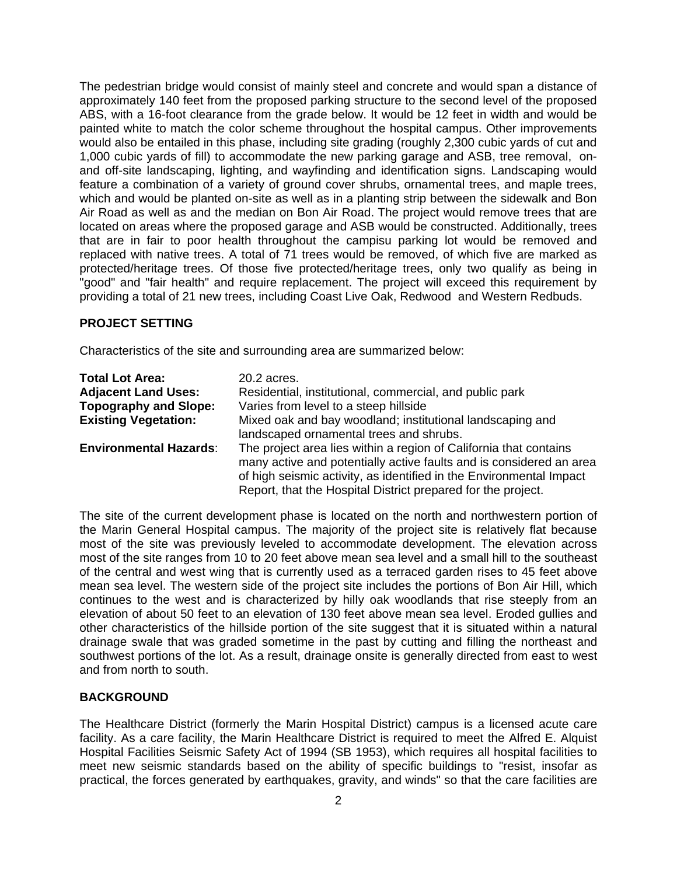The pedestrian bridge would consist of mainly steel and concrete and would span a distance of approximately 140 feet from the proposed parking structure to the second level of the proposed ABS, with a 16-foot clearance from the grade below. It would be 12 feet in width and would be painted white to match the color scheme throughout the hospital campus. Other improvements would also be entailed in this phase, including site grading (roughly 2,300 cubic yards of cut and 1,000 cubic yards of fill) to accommodate the new parking garage and ASB, tree removal, onand off-site landscaping, lighting, and wayfinding and identification signs. Landscaping would feature a combination of a variety of ground cover shrubs, ornamental trees, and maple trees, which and would be planted on-site as well as in a planting strip between the sidewalk and Bon Air Road as well as and the median on Bon Air Road. The project would remove trees that are located on areas where the proposed garage and ASB would be constructed. Additionally, trees that are in fair to poor health throughout the campisu parking lot would be removed and replaced with native trees. A total of 71 trees would be removed, of which five are marked as protected/heritage trees. Of those five protected/heritage trees, only two qualify as being in "good" and "fair health" and require replacement. The project will exceed this requirement by providing a total of 21 new trees, including Coast Live Oak, Redwood and Western Redbuds.

#### **PROJECT SETTING**

Characteristics of the site and surrounding area are summarized below:

| <b>Total Lot Area:</b>        | 20.2 acres.                                                                                          |
|-------------------------------|------------------------------------------------------------------------------------------------------|
| <b>Adjacent Land Uses:</b>    | Residential, institutional, commercial, and public park                                              |
| <b>Topography and Slope:</b>  | Varies from level to a steep hillside                                                                |
| <b>Existing Vegetation:</b>   | Mixed oak and bay woodland; institutional landscaping and<br>landscaped ornamental trees and shrubs. |
| <b>Environmental Hazards:</b> | The project area lies within a region of California that contains                                    |
|                               | many active and potentially active faults and is considered an area                                  |
|                               | of high seismic activity, as identified in the Environmental Impact                                  |
|                               | Report, that the Hospital District prepared for the project.                                         |

The site of the current development phase is located on the north and northwestern portion of the Marin General Hospital campus. The majority of the project site is relatively flat because most of the site was previously leveled to accommodate development. The elevation across most of the site ranges from 10 to 20 feet above mean sea level and a small hill to the southeast of the central and west wing that is currently used as a terraced garden rises to 45 feet above mean sea level. The western side of the project site includes the portions of Bon Air Hill, which continues to the west and is characterized by hilly oak woodlands that rise steeply from an elevation of about 50 feet to an elevation of 130 feet above mean sea level. Eroded gullies and other characteristics of the hillside portion of the site suggest that it is situated within a natural drainage swale that was graded sometime in the past by cutting and filling the northeast and southwest portions of the lot. As a result, drainage onsite is generally directed from east to west and from north to south.

#### **BACKGROUND**

The Healthcare District (formerly the Marin Hospital District) campus is a licensed acute care facility. As a care facility, the Marin Healthcare District is required to meet the Alfred E. Alquist Hospital Facilities Seismic Safety Act of 1994 (SB 1953), which requires all hospital facilities to meet new seismic standards based on the ability of specific buildings to "resist, insofar as practical, the forces generated by earthquakes, gravity, and winds" so that the care facilities are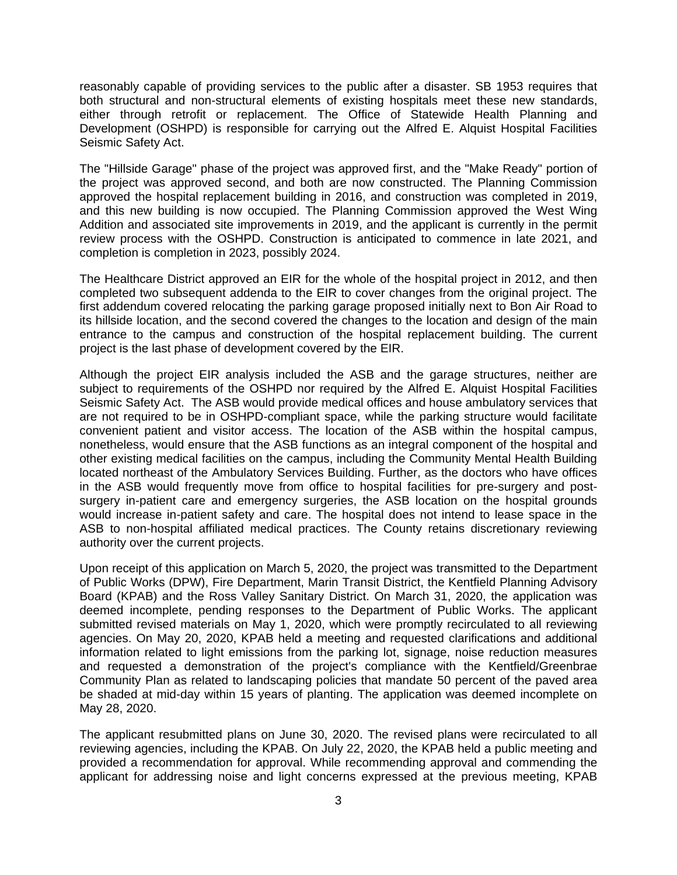reasonably capable of providing services to the public after a disaster. SB 1953 requires that both structural and non-structural elements of existing hospitals meet these new standards, either through retrofit or replacement. The Office of Statewide Health Planning and Development (OSHPD) is responsible for carrying out the Alfred E. Alquist Hospital Facilities Seismic Safety Act.

The "Hillside Garage" phase of the project was approved first, and the "Make Ready" portion of the project was approved second, and both are now constructed. The Planning Commission approved the hospital replacement building in 2016, and construction was completed in 2019, and this new building is now occupied. The Planning Commission approved the West Wing Addition and associated site improvements in 2019, and the applicant is currently in the permit review process with the OSHPD. Construction is anticipated to commence in late 2021, and completion is completion in 2023, possibly 2024.

The Healthcare District approved an EIR for the whole of the hospital project in 2012, and then completed two subsequent addenda to the EIR to cover changes from the original project. The first addendum covered relocating the parking garage proposed initially next to Bon Air Road to its hillside location, and the second covered the changes to the location and design of the main entrance to the campus and construction of the hospital replacement building. The current project is the last phase of development covered by the EIR.

Although the project EIR analysis included the ASB and the garage structures, neither are subject to requirements of the OSHPD nor required by the Alfred E. Alquist Hospital Facilities Seismic Safety Act. The ASB would provide medical offices and house ambulatory services that are not required to be in OSHPD-compliant space, while the parking structure would facilitate convenient patient and visitor access. The location of the ASB within the hospital campus, nonetheless, would ensure that the ASB functions as an integral component of the hospital and other existing medical facilities on the campus, including the Community Mental Health Building located northeast of the Ambulatory Services Building. Further, as the doctors who have offices in the ASB would frequently move from office to hospital facilities for pre-surgery and postsurgery in-patient care and emergency surgeries, the ASB location on the hospital grounds would increase in-patient safety and care. The hospital does not intend to lease space in the ASB to non-hospital affiliated medical practices. The County retains discretionary reviewing authority over the current projects.

Upon receipt of this application on March 5, 2020, the project was transmitted to the Department of Public Works (DPW), Fire Department, Marin Transit District, the Kentfield Planning Advisory Board (KPAB) and the Ross Valley Sanitary District. On March 31, 2020, the application was deemed incomplete, pending responses to the Department of Public Works. The applicant submitted revised materials on May 1, 2020, which were promptly recirculated to all reviewing agencies. On May 20, 2020, KPAB held a meeting and requested clarifications and additional information related to light emissions from the parking lot, signage, noise reduction measures and requested a demonstration of the project's compliance with the Kentfield/Greenbrae Community Plan as related to landscaping policies that mandate 50 percent of the paved area be shaded at mid-day within 15 years of planting. The application was deemed incomplete on May 28, 2020.

The applicant resubmitted plans on June 30, 2020. The revised plans were recirculated to all reviewing agencies, including the KPAB. On July 22, 2020, the KPAB held a public meeting and provided a recommendation for approval. While recommending approval and commending the applicant for addressing noise and light concerns expressed at the previous meeting, KPAB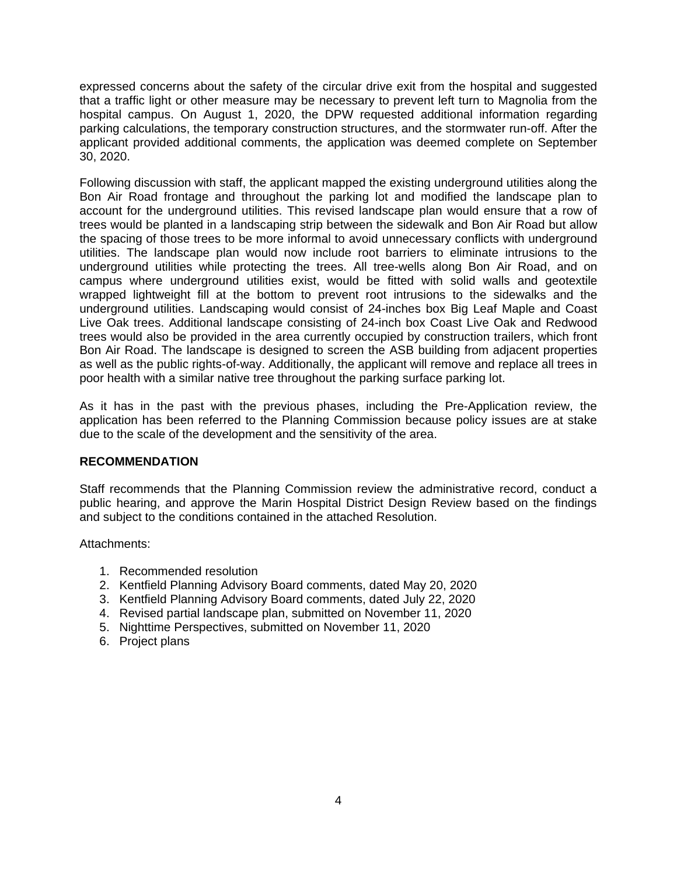expressed concerns about the safety of the circular drive exit from the hospital and suggested that a traffic light or other measure may be necessary to prevent left turn to Magnolia from the hospital campus. On August 1, 2020, the DPW requested additional information regarding parking calculations, the temporary construction structures, and the stormwater run-off. After the applicant provided additional comments, the application was deemed complete on September 30, 2020.

Following discussion with staff, the applicant mapped the existing underground utilities along the Bon Air Road frontage and throughout the parking lot and modified the landscape plan to account for the underground utilities. This revised landscape plan would ensure that a row of trees would be planted in a landscaping strip between the sidewalk and Bon Air Road but allow the spacing of those trees to be more informal to avoid unnecessary conflicts with underground utilities. The landscape plan would now include root barriers to eliminate intrusions to the underground utilities while protecting the trees. All tree-wells along Bon Air Road, and on campus where underground utilities exist, would be fitted with solid walls and geotextile wrapped lightweight fill at the bottom to prevent root intrusions to the sidewalks and the underground utilities. Landscaping would consist of 24-inches box Big Leaf Maple and Coast Live Oak trees. Additional landscape consisting of 24-inch box Coast Live Oak and Redwood trees would also be provided in the area currently occupied by construction trailers, which front Bon Air Road. The landscape is designed to screen the ASB building from adjacent properties as well as the public rights-of-way. Additionally, the applicant will remove and replace all trees in poor health with a similar native tree throughout the parking surface parking lot.

As it has in the past with the previous phases, including the Pre-Application review, the application has been referred to the Planning Commission because policy issues are at stake due to the scale of the development and the sensitivity of the area.

## **RECOMMENDATION**

Staff recommends that the Planning Commission review the administrative record, conduct a public hearing, and approve the Marin Hospital District Design Review based on the findings and subject to the conditions contained in the attached Resolution.

Attachments:

- 1. Recommended resolution
- 2. Kentfield Planning Advisory Board comments, dated May 20, 2020
- 3. Kentfield Planning Advisory Board comments, dated July 22, 2020
- 4. Revised partial landscape plan, submitted on November 11, 2020
- 5. Nighttime Perspectives, submitted on November 11, 2020
- 6. Project plans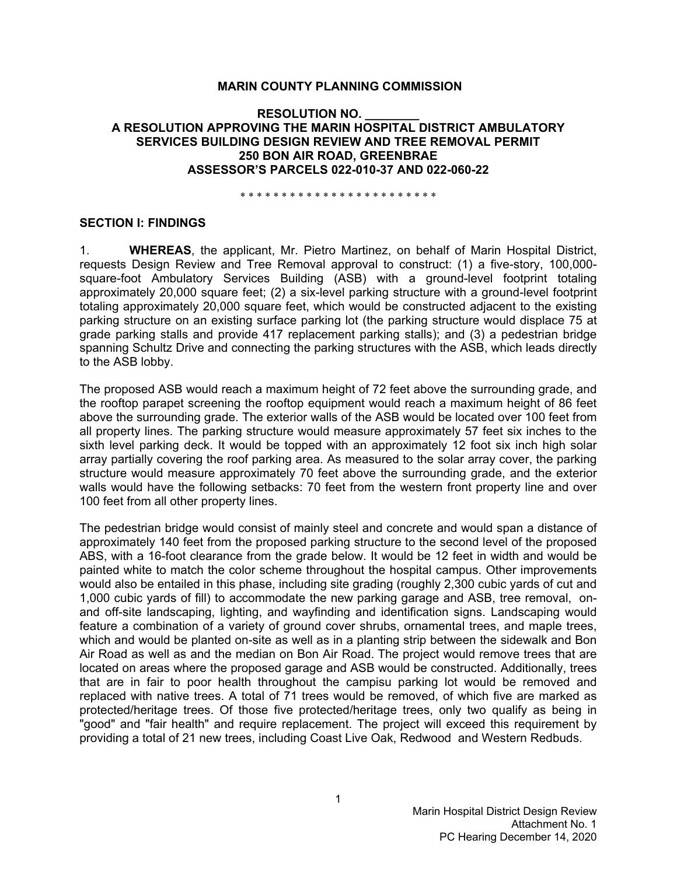#### **MARIN COUNTY PLANNING COMMISSION**

### **RESOLUTION NO. \_\_\_\_\_\_\_\_ A RESOLUTION APPROVING THE MARIN HOSPITAL DISTRICT AMBULATORY SERVICES BUILDING DESIGN REVIEW AND TREE REMOVAL PERMIT 250 BON AIR ROAD, GREENBRAE ASSESSOR'S PARCELS 022-010-37 AND 022-060-22**

\* \* \* \* \* \* \* \* \* \* \* \* \* \* \* \* \* \* \* \* \* \* \* \*

#### **SECTION I: FINDINGS**

1. **WHEREAS**, the applicant, Mr. Pietro Martinez, on behalf of Marin Hospital District, requests Design Review and Tree Removal approval to construct: (1) a five-story, 100,000 square-foot Ambulatory Services Building (ASB) with a ground-level footprint totaling approximately 20,000 square feet; (2) a six-level parking structure with a ground-level footprint totaling approximately 20,000 square feet, which would be constructed adjacent to the existing parking structure on an existing surface parking lot (the parking structure would displace 75 at grade parking stalls and provide 417 replacement parking stalls); and (3) a pedestrian bridge spanning Schultz Drive and connecting the parking structures with the ASB, which leads directly to the ASB lobby.

The proposed ASB would reach a maximum height of 72 feet above the surrounding grade, and the rooftop parapet screening the rooftop equipment would reach a maximum height of 86 feet above the surrounding grade. The exterior walls of the ASB would be located over 100 feet from all property lines. The parking structure would measure approximately 57 feet six inches to the sixth level parking deck. It would be topped with an approximately 12 foot six inch high solar array partially covering the roof parking area. As measured to the solar array cover, the parking structure would measure approximately 70 feet above the surrounding grade, and the exterior walls would have the following setbacks: 70 feet from the western front property line and over 100 feet from all other property lines.

The pedestrian bridge would consist of mainly steel and concrete and would span a distance of approximately 140 feet from the proposed parking structure to the second level of the proposed ABS, with a 16-foot clearance from the grade below. It would be 12 feet in width and would be painted white to match the color scheme throughout the hospital campus. Other improvements would also be entailed in this phase, including site grading (roughly 2,300 cubic yards of cut and 1,000 cubic yards of fill) to accommodate the new parking garage and ASB, tree removal, onand off-site landscaping, lighting, and wayfinding and identification signs. Landscaping would feature a combination of a variety of ground cover shrubs, ornamental trees, and maple trees, which and would be planted on-site as well as in a planting strip between the sidewalk and Bon Air Road as well as and the median on Bon Air Road. The project would remove trees that are located on areas where the proposed garage and ASB would be constructed. Additionally, trees that are in fair to poor health throughout the campisu parking lot would be removed and replaced with native trees. A total of 71 trees would be removed, of which five are marked as protected/heritage trees. Of those five protected/heritage trees, only two qualify as being in "good" and "fair health" and require replacement. The project will exceed this requirement by providing a total of 21 new trees, including Coast Live Oak, Redwood and Western Redbuds.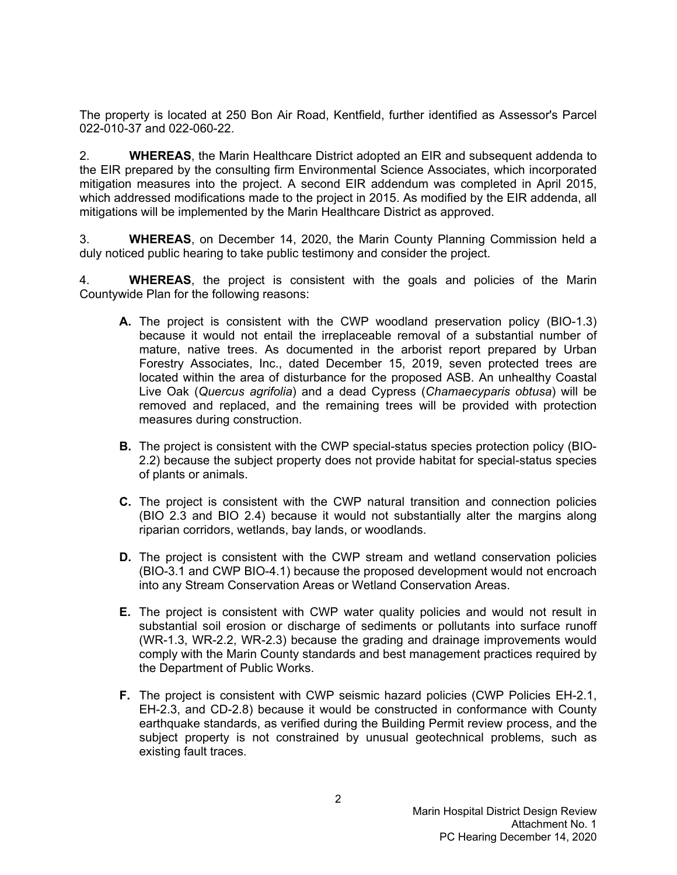The property is located at 250 Bon Air Road, Kentfield, further identified as Assessor's Parcel 022-010-37 and 022-060-22.

2. **WHEREAS**, the Marin Healthcare District adopted an EIR and subsequent addenda to the EIR prepared by the consulting firm Environmental Science Associates, which incorporated mitigation measures into the project. A second EIR addendum was completed in April 2015, which addressed modifications made to the project in 2015. As modified by the EIR addenda, all mitigations will be implemented by the Marin Healthcare District as approved.

3. **WHEREAS**, on December 14, 2020, the Marin County Planning Commission held a duly noticed public hearing to take public testimony and consider the project.

4. **WHEREAS**, the project is consistent with the goals and policies of the Marin Countywide Plan for the following reasons:

- **A.** The project is consistent with the CWP woodland preservation policy (BIO-1.3) because it would not entail the irreplaceable removal of a substantial number of mature, native trees. As documented in the arborist report prepared by Urban Forestry Associates, Inc., dated December 15, 2019, seven protected trees are located within the area of disturbance for the proposed ASB. An unhealthy Coastal Live Oak (*Quercus agrifolia*) and a dead Cypress (*Chamaecyparis obtusa*) will be removed and replaced, and the remaining trees will be provided with protection measures during construction.
- **B.** The project is consistent with the CWP special-status species protection policy (BIO-2.2) because the subject property does not provide habitat for special-status species of plants or animals.
- **C.** The project is consistent with the CWP natural transition and connection policies (BIO 2.3 and BIO 2.4) because it would not substantially alter the margins along riparian corridors, wetlands, bay lands, or woodlands.
- **D.** The project is consistent with the CWP stream and wetland conservation policies (BIO-3.1 and CWP BIO-4.1) because the proposed development would not encroach into any Stream Conservation Areas or Wetland Conservation Areas.
- **E.** The project is consistent with CWP water quality policies and would not result in substantial soil erosion or discharge of sediments or pollutants into surface runoff (WR-1.3, WR-2.2, WR-2.3) because the grading and drainage improvements would comply with the Marin County standards and best management practices required by the Department of Public Works.
- **F.** The project is consistent with CWP seismic hazard policies (CWP Policies EH-2.1, EH-2.3, and CD-2.8) because it would be constructed in conformance with County earthquake standards, as verified during the Building Permit review process, and the subject property is not constrained by unusual geotechnical problems, such as existing fault traces.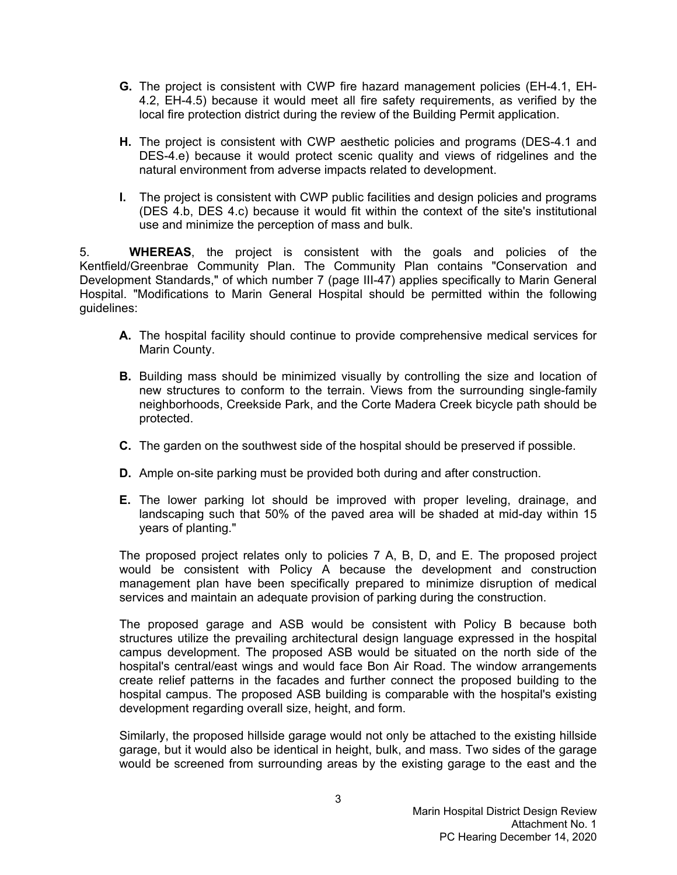- **G.** The project is consistent with CWP fire hazard management policies (EH-4.1, EH-4.2, EH-4.5) because it would meet all fire safety requirements, as verified by the local fire protection district during the review of the Building Permit application.
- **H.** The project is consistent with CWP aesthetic policies and programs (DES-4.1 and DES-4.e) because it would protect scenic quality and views of ridgelines and the natural environment from adverse impacts related to development.
- **I.** The project is consistent with CWP public facilities and design policies and programs (DES 4.b, DES 4.c) because it would fit within the context of the site's institutional use and minimize the perception of mass and bulk.

5. **WHEREAS**, the project is consistent with the goals and policies of the Kentfield/Greenbrae Community Plan. The Community Plan contains "Conservation and Development Standards," of which number 7 (page III-47) applies specifically to Marin General Hospital. "Modifications to Marin General Hospital should be permitted within the following guidelines:

- **A.** The hospital facility should continue to provide comprehensive medical services for Marin County.
- **B.** Building mass should be minimized visually by controlling the size and location of new structures to conform to the terrain. Views from the surrounding single-family neighborhoods, Creekside Park, and the Corte Madera Creek bicycle path should be protected.
- **C.** The garden on the southwest side of the hospital should be preserved if possible.
- **D.** Ample on-site parking must be provided both during and after construction.
- **E.** The lower parking lot should be improved with proper leveling, drainage, and landscaping such that 50% of the paved area will be shaded at mid-day within 15 years of planting."

The proposed project relates only to policies 7 A, B, D, and E. The proposed project would be consistent with Policy A because the development and construction management plan have been specifically prepared to minimize disruption of medical services and maintain an adequate provision of parking during the construction.

The proposed garage and ASB would be consistent with Policy B because both structures utilize the prevailing architectural design language expressed in the hospital campus development. The proposed ASB would be situated on the north side of the hospital's central/east wings and would face Bon Air Road. The window arrangements create relief patterns in the facades and further connect the proposed building to the hospital campus. The proposed ASB building is comparable with the hospital's existing development regarding overall size, height, and form.

Similarly, the proposed hillside garage would not only be attached to the existing hillside garage, but it would also be identical in height, bulk, and mass. Two sides of the garage would be screened from surrounding areas by the existing garage to the east and the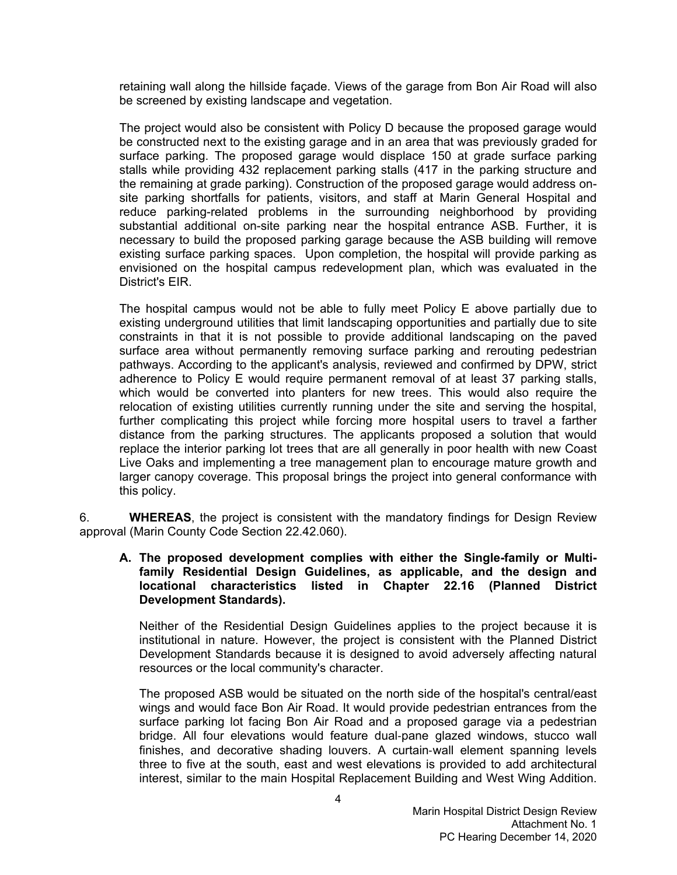retaining wall along the hillside façade. Views of the garage from Bon Air Road will also be screened by existing landscape and vegetation.

The project would also be consistent with Policy D because the proposed garage would be constructed next to the existing garage and in an area that was previously graded for surface parking. The proposed garage would displace 150 at grade surface parking stalls while providing 432 replacement parking stalls (417 in the parking structure and the remaining at grade parking). Construction of the proposed garage would address onsite parking shortfalls for patients, visitors, and staff at Marin General Hospital and reduce parking-related problems in the surrounding neighborhood by providing substantial additional on-site parking near the hospital entrance ASB. Further, it is necessary to build the proposed parking garage because the ASB building will remove existing surface parking spaces. Upon completion, the hospital will provide parking as envisioned on the hospital campus redevelopment plan, which was evaluated in the District's EIR.

The hospital campus would not be able to fully meet Policy E above partially due to existing underground utilities that limit landscaping opportunities and partially due to site constraints in that it is not possible to provide additional landscaping on the paved surface area without permanently removing surface parking and rerouting pedestrian pathways. According to the applicant's analysis, reviewed and confirmed by DPW, strict adherence to Policy E would require permanent removal of at least 37 parking stalls, which would be converted into planters for new trees. This would also require the relocation of existing utilities currently running under the site and serving the hospital, further complicating this project while forcing more hospital users to travel a farther distance from the parking structures. The applicants proposed a solution that would replace the interior parking lot trees that are all generally in poor health with new Coast Live Oaks and implementing a tree management plan to encourage mature growth and larger canopy coverage. This proposal brings the project into general conformance with this policy.

6. **WHEREAS**, the project is consistent with the mandatory findings for Design Review approval (Marin County Code Section 22.42.060).

**A. The proposed development complies with either the Single-family or Multifamily Residential Design Guidelines, as applicable, and the design and locational characteristics listed in Chapter 22.16 (Planned District Development Standards).**

Neither of the Residential Design Guidelines applies to the project because it is institutional in nature. However, the project is consistent with the Planned District Development Standards because it is designed to avoid adversely affecting natural resources or the local community's character.

The proposed ASB would be situated on the north side of the hospital's central/east wings and would face Bon Air Road. It would provide pedestrian entrances from the surface parking lot facing Bon Air Road and a proposed garage via a pedestrian bridge. All four elevations would feature dual-pane glazed windows, stucco wall finishes, and decorative shading louvers. A curtain-wall element spanning levels three to five at the south, east and west elevations is provided to add architectural interest, similar to the main Hospital Replacement Building and West Wing Addition.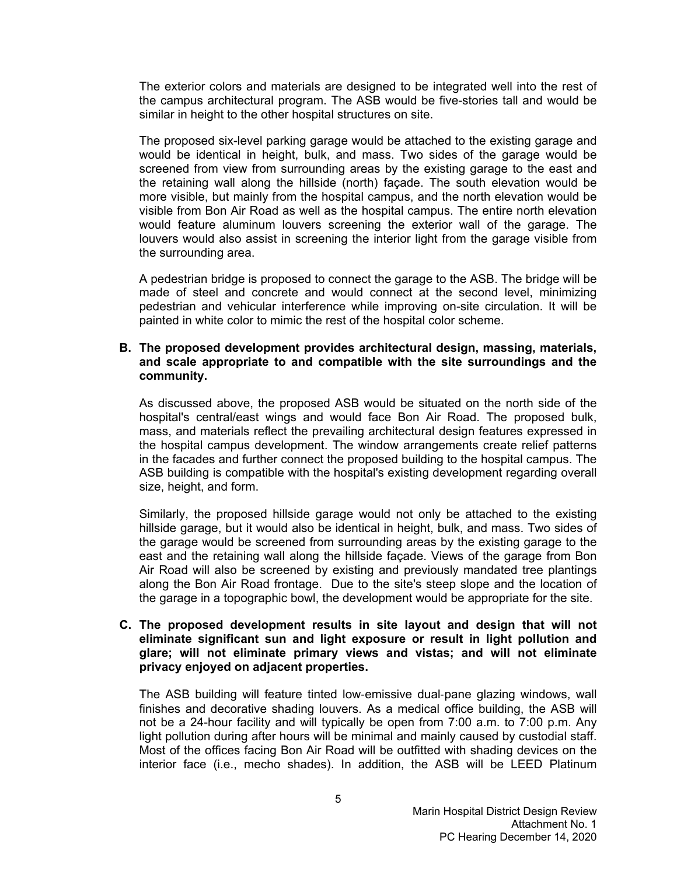The exterior colors and materials are designed to be integrated well into the rest of the campus architectural program. The ASB would be five-stories tall and would be similar in height to the other hospital structures on site.

The proposed six-level parking garage would be attached to the existing garage and would be identical in height, bulk, and mass. Two sides of the garage would be screened from view from surrounding areas by the existing garage to the east and the retaining wall along the hillside (north) façade. The south elevation would be more visible, but mainly from the hospital campus, and the north elevation would be visible from Bon Air Road as well as the hospital campus. The entire north elevation would feature aluminum louvers screening the exterior wall of the garage. The louvers would also assist in screening the interior light from the garage visible from the surrounding area.

A pedestrian bridge is proposed to connect the garage to the ASB. The bridge will be made of steel and concrete and would connect at the second level, minimizing pedestrian and vehicular interference while improving on-site circulation. It will be painted in white color to mimic the rest of the hospital color scheme.

### **B. The proposed development provides architectural design, massing, materials, and scale appropriate to and compatible with the site surroundings and the community.**

As discussed above, the proposed ASB would be situated on the north side of the hospital's central/east wings and would face Bon Air Road. The proposed bulk, mass, and materials reflect the prevailing architectural design features expressed in the hospital campus development. The window arrangements create relief patterns in the facades and further connect the proposed building to the hospital campus. The ASB building is compatible with the hospital's existing development regarding overall size, height, and form.

Similarly, the proposed hillside garage would not only be attached to the existing hillside garage, but it would also be identical in height, bulk, and mass. Two sides of the garage would be screened from surrounding areas by the existing garage to the east and the retaining wall along the hillside façade. Views of the garage from Bon Air Road will also be screened by existing and previously mandated tree plantings along the Bon Air Road frontage. Due to the site's steep slope and the location of the garage in a topographic bowl, the development would be appropriate for the site.

### **C. The proposed development results in site layout and design that will not eliminate significant sun and light exposure or result in light pollution and glare; will not eliminate primary views and vistas; and will not eliminate privacy enjoyed on adjacent properties.**

The ASB building will feature tinted low-emissive dual-pane glazing windows, wall finishes and decorative shading louvers. As a medical office building, the ASB will not be a 24-hour facility and will typically be open from 7:00 a.m. to 7:00 p.m. Any light pollution during after hours will be minimal and mainly caused by custodial staff. Most of the offices facing Bon Air Road will be outfitted with shading devices on the interior face (i.e., mecho shades). In addition, the ASB will be LEED Platinum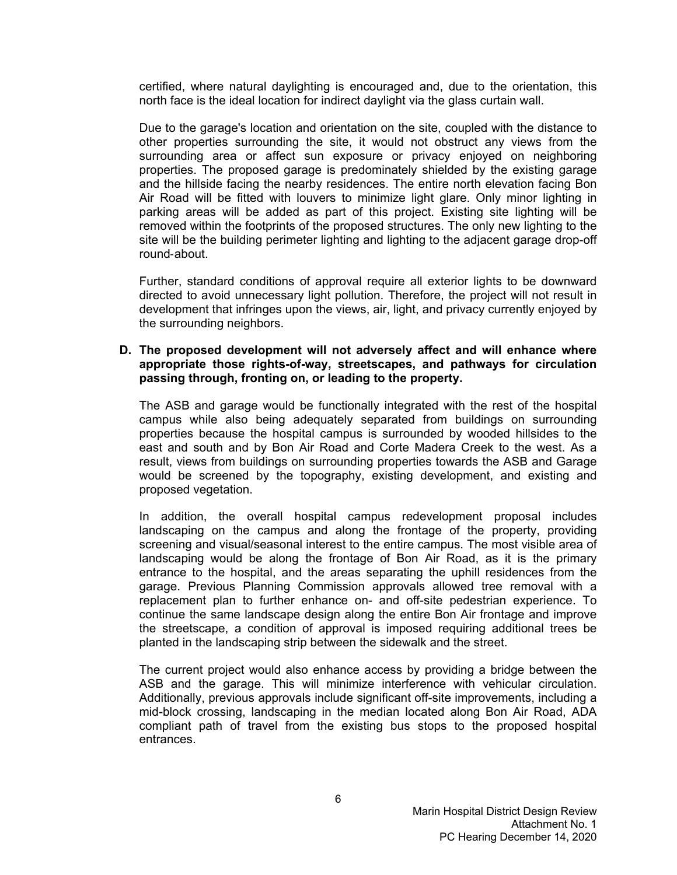certified, where natural daylighting is encouraged and, due to the orientation, this north face is the ideal location for indirect daylight via the glass curtain wall.

Due to the garage's location and orientation on the site, coupled with the distance to other properties surrounding the site, it would not obstruct any views from the surrounding area or affect sun exposure or privacy enjoyed on neighboring properties. The proposed garage is predominately shielded by the existing garage and the hillside facing the nearby residences. The entire north elevation facing Bon Air Road will be fitted with louvers to minimize light glare. Only minor lighting in parking areas will be added as part of this project. Existing site lighting will be removed within the footprints of the proposed structures. The only new lighting to the site will be the building perimeter lighting and lighting to the adjacent garage drop-off round-about.

Further, standard conditions of approval require all exterior lights to be downward directed to avoid unnecessary light pollution. Therefore, the project will not result in development that infringes upon the views, air, light, and privacy currently enjoyed by the surrounding neighbors.

### **D. The proposed development will not adversely affect and will enhance where appropriate those rights-of-way, streetscapes, and pathways for circulation passing through, fronting on, or leading to the property.**

The ASB and garage would be functionally integrated with the rest of the hospital campus while also being adequately separated from buildings on surrounding properties because the hospital campus is surrounded by wooded hillsides to the east and south and by Bon Air Road and Corte Madera Creek to the west. As a result, views from buildings on surrounding properties towards the ASB and Garage would be screened by the topography, existing development, and existing and proposed vegetation.

In addition, the overall hospital campus redevelopment proposal includes landscaping on the campus and along the frontage of the property, providing screening and visual/seasonal interest to the entire campus. The most visible area of landscaping would be along the frontage of Bon Air Road, as it is the primary entrance to the hospital, and the areas separating the uphill residences from the garage. Previous Planning Commission approvals allowed tree removal with a replacement plan to further enhance on- and off-site pedestrian experience. To continue the same landscape design along the entire Bon Air frontage and improve the streetscape, a condition of approval is imposed requiring additional trees be planted in the landscaping strip between the sidewalk and the street.

The current project would also enhance access by providing a bridge between the ASB and the garage. This will minimize interference with vehicular circulation. Additionally, previous approvals include significant off-site improvements, including a mid-block crossing, landscaping in the median located along Bon Air Road, ADA compliant path of travel from the existing bus stops to the proposed hospital entrances.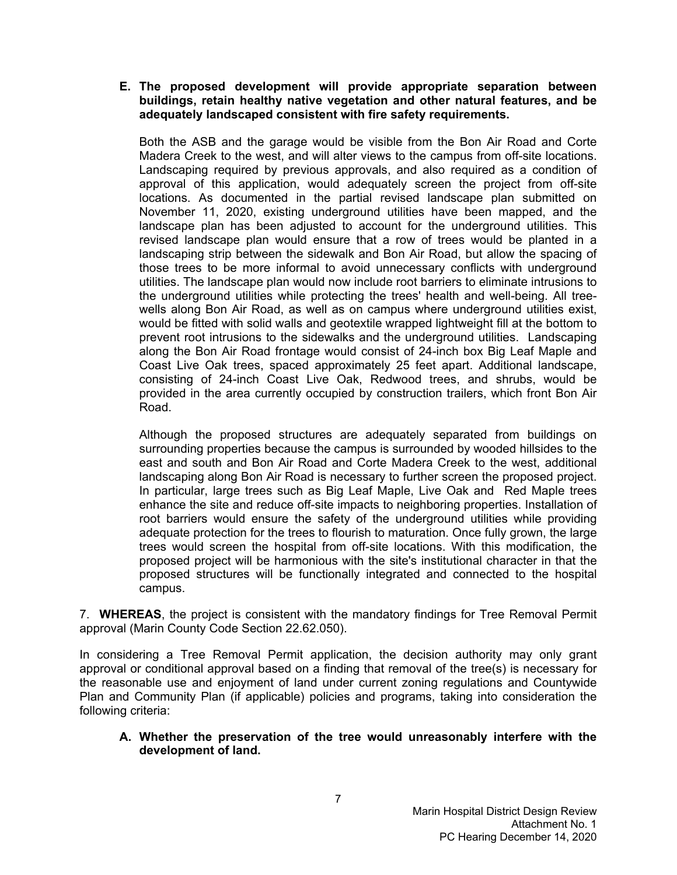### **E. The proposed development will provide appropriate separation between buildings, retain healthy native vegetation and other natural features, and be adequately landscaped consistent with fire safety requirements.**

Both the ASB and the garage would be visible from the Bon Air Road and Corte Madera Creek to the west, and will alter views to the campus from off-site locations. Landscaping required by previous approvals, and also required as a condition of approval of this application, would adequately screen the project from off-site locations. As documented in the partial revised landscape plan submitted on November 11, 2020, existing underground utilities have been mapped, and the landscape plan has been adjusted to account for the underground utilities. This revised landscape plan would ensure that a row of trees would be planted in a landscaping strip between the sidewalk and Bon Air Road, but allow the spacing of those trees to be more informal to avoid unnecessary conflicts with underground utilities. The landscape plan would now include root barriers to eliminate intrusions to the underground utilities while protecting the trees' health and well-being. All treewells along Bon Air Road, as well as on campus where underground utilities exist, would be fitted with solid walls and geotextile wrapped lightweight fill at the bottom to prevent root intrusions to the sidewalks and the underground utilities. Landscaping along the Bon Air Road frontage would consist of 24-inch box Big Leaf Maple and Coast Live Oak trees, spaced approximately 25 feet apart. Additional landscape, consisting of 24-inch Coast Live Oak, Redwood trees, and shrubs, would be provided in the area currently occupied by construction trailers, which front Bon Air Road.

Although the proposed structures are adequately separated from buildings on surrounding properties because the campus is surrounded by wooded hillsides to the east and south and Bon Air Road and Corte Madera Creek to the west, additional landscaping along Bon Air Road is necessary to further screen the proposed project. In particular, large trees such as Big Leaf Maple, Live Oak and Red Maple trees enhance the site and reduce off-site impacts to neighboring properties. Installation of root barriers would ensure the safety of the underground utilities while providing adequate protection for the trees to flourish to maturation. Once fully grown, the large trees would screen the hospital from off-site locations. With this modification, the proposed project will be harmonious with the site's institutional character in that the proposed structures will be functionally integrated and connected to the hospital campus.

7. **WHEREAS**, the project is consistent with the mandatory findings for Tree Removal Permit approval (Marin County Code Section 22.62.050).

In considering a Tree Removal Permit application, the decision authority may only grant approval or conditional approval based on a finding that removal of the tree(s) is necessary for the reasonable use and enjoyment of land under current zoning regulations and Countywide Plan and Community Plan (if applicable) policies and programs, taking into consideration the following criteria:

## **A. Whether the preservation of the tree would unreasonably interfere with the development of land.**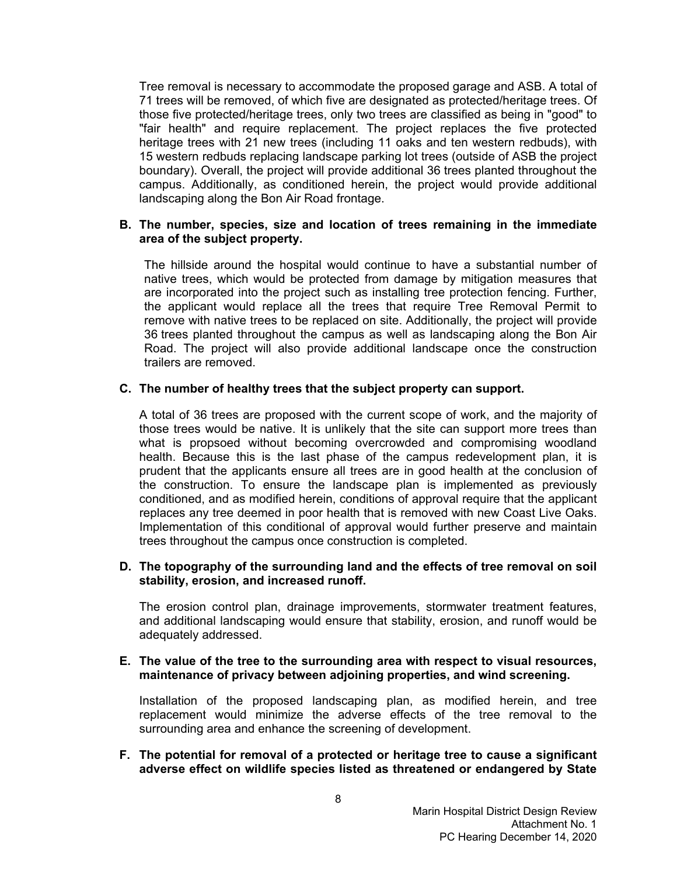Tree removal is necessary to accommodate the proposed garage and ASB. A total of 71 trees will be removed, of which five are designated as protected/heritage trees. Of those five protected/heritage trees, only two trees are classified as being in "good" to "fair health" and require replacement. The project replaces the five protected heritage trees with 21 new trees (including 11 oaks and ten western redbuds), with 15 western redbuds replacing landscape parking lot trees (outside of ASB the project boundary). Overall, the project will provide additional 36 trees planted throughout the campus. Additionally, as conditioned herein, the project would provide additional landscaping along the Bon Air Road frontage.

#### **B. The number, species, size and location of trees remaining in the immediate area of the subject property.**

The hillside around the hospital would continue to have a substantial number of native trees, which would be protected from damage by mitigation measures that are incorporated into the project such as installing tree protection fencing. Further, the applicant would replace all the trees that require Tree Removal Permit to remove with native trees to be replaced on site. Additionally, the project will provide 36 trees planted throughout the campus as well as landscaping along the Bon Air Road. The project will also provide additional landscape once the construction trailers are removed.

#### **C. The number of healthy trees that the subject property can support.**

A total of 36 trees are proposed with the current scope of work, and the majority of those trees would be native. It is unlikely that the site can support more trees than what is propsoed without becoming overcrowded and compromising woodland health. Because this is the last phase of the campus redevelopment plan, it is prudent that the applicants ensure all trees are in good health at the conclusion of the construction. To ensure the landscape plan is implemented as previously conditioned, and as modified herein, conditions of approval require that the applicant replaces any tree deemed in poor health that is removed with new Coast Live Oaks. Implementation of this conditional of approval would further preserve and maintain trees throughout the campus once construction is completed.

#### **D. The topography of the surrounding land and the effects of tree removal on soil stability, erosion, and increased runoff.**

The erosion control plan, drainage improvements, stormwater treatment features, and additional landscaping would ensure that stability, erosion, and runoff would be adequately addressed.

### **E. The value of the tree to the surrounding area with respect to visual resources, maintenance of privacy between adjoining properties, and wind screening.**

Installation of the proposed landscaping plan, as modified herein, and tree replacement would minimize the adverse effects of the tree removal to the surrounding area and enhance the screening of development.

**F. The potential for removal of a protected or heritage tree to cause a significant adverse effect on wildlife species listed as threatened or endangered by State**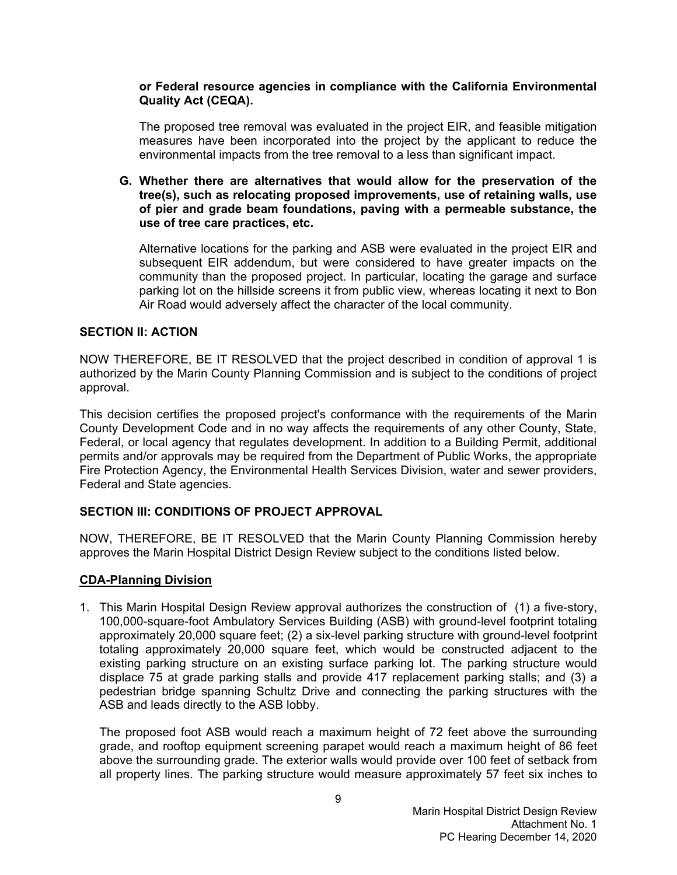### **or Federal resource agencies in compliance with the California Environmental Quality Act (CEQA).**

The proposed tree removal was evaluated in the project EIR, and feasible mitigation measures have been incorporated into the project by the applicant to reduce the environmental impacts from the tree removal to a less than significant impact.

**G. Whether there are alternatives that would allow for the preservation of the tree(s), such as relocating proposed improvements, use of retaining walls, use of pier and grade beam foundations, paving with a permeable substance, the use of tree care practices, etc.**

Alternative locations for the parking and ASB were evaluated in the project EIR and subsequent EIR addendum, but were considered to have greater impacts on the community than the proposed project. In particular, locating the garage and surface parking lot on the hillside screens it from public view, whereas locating it next to Bon Air Road would adversely affect the character of the local community.

## **SECTION II: ACTION**

NOW THEREFORE, BE IT RESOLVED that the project described in condition of approval 1 is authorized by the Marin County Planning Commission and is subject to the conditions of project approval.

This decision certifies the proposed project's conformance with the requirements of the Marin County Development Code and in no way affects the requirements of any other County, State, Federal, or local agency that regulates development. In addition to a Building Permit, additional permits and/or approvals may be required from the Department of Public Works, the appropriate Fire Protection Agency, the Environmental Health Services Division, water and sewer providers, Federal and State agencies.

## **SECTION III: CONDITIONS OF PROJECT APPROVAL**

NOW, THEREFORE, BE IT RESOLVED that the Marin County Planning Commission hereby approves the Marin Hospital District Design Review subject to the conditions listed below.

## **CDA-Planning Division**

1. This Marin Hospital Design Review approval authorizes the construction of (1) a five-story, 100,000-square-foot Ambulatory Services Building (ASB) with ground-level footprint totaling approximately 20,000 square feet; (2) a six-level parking structure with ground-level footprint totaling approximately 20,000 square feet, which would be constructed adjacent to the existing parking structure on an existing surface parking lot. The parking structure would displace 75 at grade parking stalls and provide 417 replacement parking stalls; and (3) a pedestrian bridge spanning Schultz Drive and connecting the parking structures with the ASB and leads directly to the ASB lobby.

The proposed foot ASB would reach a maximum height of 72 feet above the surrounding grade, and rooftop equipment screening parapet would reach a maximum height of 86 feet above the surrounding grade. The exterior walls would provide over 100 feet of setback from all property lines. The parking structure would measure approximately 57 feet six inches to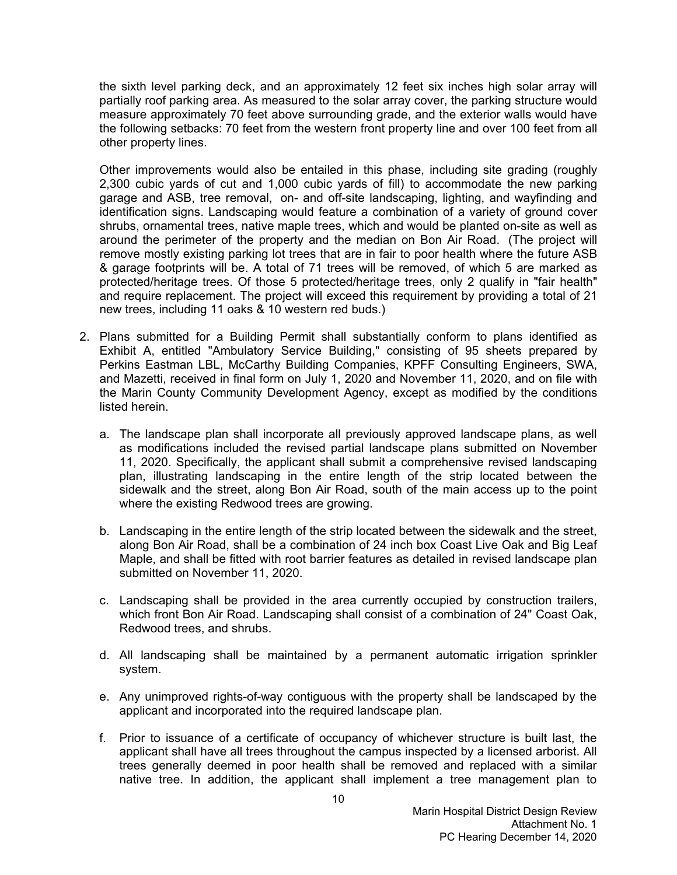the sixth level parking deck, and an approximately 12 feet six inches high solar array will partially roof parking area. As measured to the solar array cover, the parking structure would measure approximately 70 feet above surrounding grade, and the exterior walls would have the following setbacks: 70 feet from the western front property line and over 100 feet from all other property lines.

Other improvements would also be entailed in this phase, including site grading (roughly 2,300 cubic yards of cut and 1,000 cubic yards of fill) to accommodate the new parking garage and ASB, tree removal, on- and off-site landscaping, lighting, and wayfinding and identification signs. Landscaping would feature a combination of a variety of ground cover shrubs, ornamental trees, native maple trees, which and would be planted on-site as well as around the perimeter of the property and the median on Bon Air Road. (The project will remove mostly existing parking lot trees that are in fair to poor health where the future ASB & garage footprints will be. A total of 71 trees will be removed, of which 5 are marked as protected/heritage trees. Of those 5 protected/heritage trees, only 2 qualify in "fair health" and require replacement. The project will exceed this requirement by providing a total of 21 new trees, including 11 oaks & 10 western red buds.)

- 2. Plans submitted for a Building Permit shall substantially conform to plans identified as Exhibit A, entitled "Ambulatory Service Building," consisting of 95 sheets prepared by Perkins Eastman LBL, McCarthy Building Companies, KPFF Consulting Engineers, SWA, and Mazetti, received in final form on July 1, 2020 and November 11, 2020, and on file with the Marin County Community Development Agency, except as modified by the conditions listed herein.
	- a. The landscape plan shall incorporate all previously approved landscape plans, as well as modifications included the revised partial landscape plans submitted on November 11, 2020. Specifically, the applicant shall submit a comprehensive revised landscaping plan, illustrating landscaping in the entire length of the strip located between the sidewalk and the street, along Bon Air Road, south of the main access up to the point where the existing Redwood trees are growing.
	- b. Landscaping in the entire length of the strip located between the sidewalk and the street, along Bon Air Road, shall be a combination of 24 inch box Coast Live Oak and Big Leaf Maple, and shall be fitted with root barrier features as detailed in revised landscape plan submitted on November 11, 2020.
	- c. Landscaping shall be provided in the area currently occupied by construction trailers, which front Bon Air Road. Landscaping shall consist of a combination of 24" Coast Oak, Redwood trees, and shrubs.
	- d. All landscaping shall be maintained by a permanent automatic irrigation sprinkler system.
	- e. Any unimproved rights-of-way contiguous with the property shall be landscaped by the applicant and incorporated into the required landscape plan.
	- f. Prior to issuance of a certificate of occupancy of whichever structure is built last, the applicant shall have all trees throughout the campus inspected by a licensed arborist. All trees generally deemed in poor health shall be removed and replaced with a similar native tree. In addition, the applicant shall implement a tree management plan to